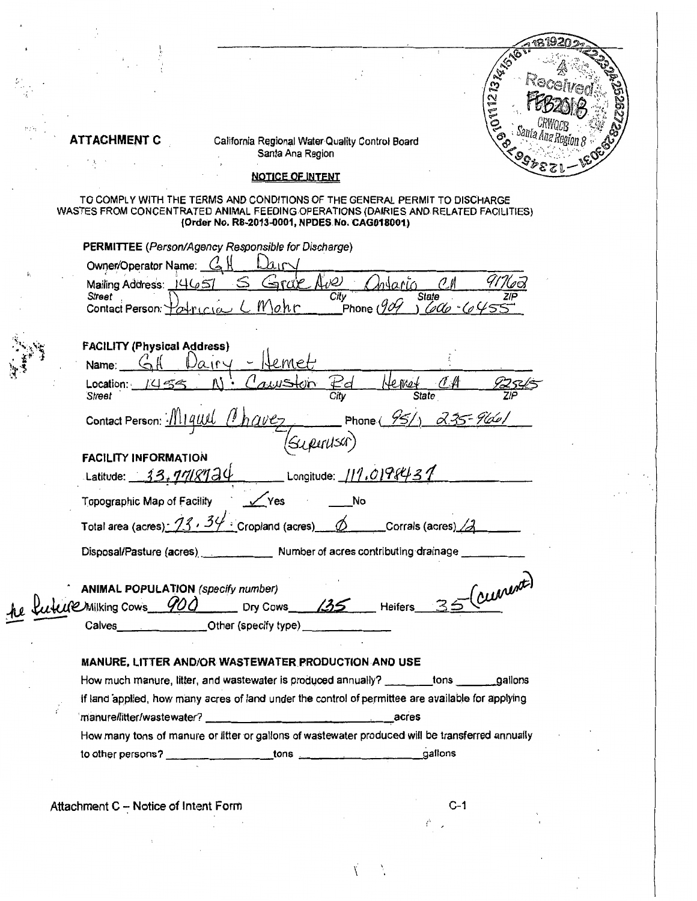|  |                                                                      |                                                                                                                                                                                                                    |                                                                                  | REAT                |
|--|----------------------------------------------------------------------|--------------------------------------------------------------------------------------------------------------------------------------------------------------------------------------------------------------------|----------------------------------------------------------------------------------|---------------------|
|  |                                                                      |                                                                                                                                                                                                                    |                                                                                  | 01011273<br>ro<br>N |
|  | ATTACHMENT C                                                         | California Regional Water Quality Control Board<br>Santa Ana Region                                                                                                                                                |                                                                                  |                     |
|  |                                                                      | <b>NOTICE OF INTENT</b>                                                                                                                                                                                            |                                                                                  |                     |
|  |                                                                      | TO COMPLY WITH THE TERMS AND CONDITIONS OF THE GENERAL PERMIT TO DISCHARGE<br>WASTES FROM CONCENTRATED ANIMAL FEEDING OPERATIONS (DAIRIES AND RELATED FACILITIES)<br>(Order No. R8-2013-0001, NPDES No. CAG018001) |                                                                                  |                     |
|  |                                                                      | <b>PERMITTEE</b> (Person/Agency Responsible for Discharge)                                                                                                                                                         |                                                                                  |                     |
|  | Owner/Operator Name: C                                               |                                                                                                                                                                                                                    |                                                                                  |                     |
|  | Mailing Address: $1465$<br>Street<br>Contact Person: You             | $\Delta v \mathcal{Q}$<br>$\pi$<br>City<br>10.hr                                                                                                                                                                   | alarin<br>State<br>$\mathcal{C}^{\alpha}$ $\mathcal{C}^{\alpha}$<br>Phone $(90)$ |                     |
|  | <b>FACILITY (Physical Address)</b>                                   |                                                                                                                                                                                                                    |                                                                                  |                     |
|  | Name:                                                                | .met                                                                                                                                                                                                               |                                                                                  |                     |
|  | Location:<br>1454<br>Street                                          | $\mathcal{L}_{\mathcal{C}}$<br>City                                                                                                                                                                                | te met<br><b>State</b>                                                           |                     |
|  | Contact Person: -                                                    | Superusar)                                                                                                                                                                                                         | Phone $(95/)\,$ 2.35-966                                                         |                     |
|  | <b>FACILITY INFORMATION</b>                                          |                                                                                                                                                                                                                    |                                                                                  |                     |
|  | 13. <i>1118</i> 120<br>Latitude:                                     | Longitude: $111.0198431$                                                                                                                                                                                           |                                                                                  |                     |
|  | Topographic Map of Facility                                          | Yes<br>No                                                                                                                                                                                                          |                                                                                  |                     |
|  | Total area (acres): $\frac{73}{5}$ , $\frac{34}{5}$ Cropland (acres) |                                                                                                                                                                                                                    | Corrals (acres)_                                                                 |                     |
|  |                                                                      | Disposal/Pasture (acres) _____________ Number of acres contributing drainage ___                                                                                                                                   |                                                                                  |                     |
|  |                                                                      | LO Milking Cows 900 Dry Cows 135 Heifers 35 (CLUMMATE)                                                                                                                                                             |                                                                                  |                     |
|  |                                                                      |                                                                                                                                                                                                                    |                                                                                  |                     |
|  |                                                                      | MANURE, LITTER AND/OR WASTEWATER PRODUCTION AND USE                                                                                                                                                                |                                                                                  |                     |
|  |                                                                      | How much manure, litter, and wastewater is produced annually? ________tons ________gallons                                                                                                                         |                                                                                  |                     |
|  |                                                                      | if land applied, how many acres of land under the control of permittee are available for applying                                                                                                                  |                                                                                  |                     |
|  |                                                                      |                                                                                                                                                                                                                    | _acres                                                                           |                     |
|  |                                                                      | How many tons of manure or litter or gallons of wastewater produced will be transferred annually                                                                                                                   |                                                                                  |                     |
|  |                                                                      |                                                                                                                                                                                                                    |                                                                                  |                     |
|  |                                                                      |                                                                                                                                                                                                                    |                                                                                  |                     |

Attachment C - Notice of Intent Form

 $\label{eq:2.1} \frac{1}{\sqrt{2}}\int_{0}^{\pi}\frac{1}{\sqrt{2\pi}}\left(\frac{1}{\sqrt{2\pi}}\right)^{2\pi}d\mu_{\rm{eff}}\,d\mu_{\rm{eff}}$ 

 $\sum_{i=1}^n \alpha_i = 1$ 

 $\check{\mathcal{N}}$ 

 $\tilde{\mathcal{L}}$ 

 $\frac{\sqrt{2}}{4}$ 

 $\bar{\epsilon}$